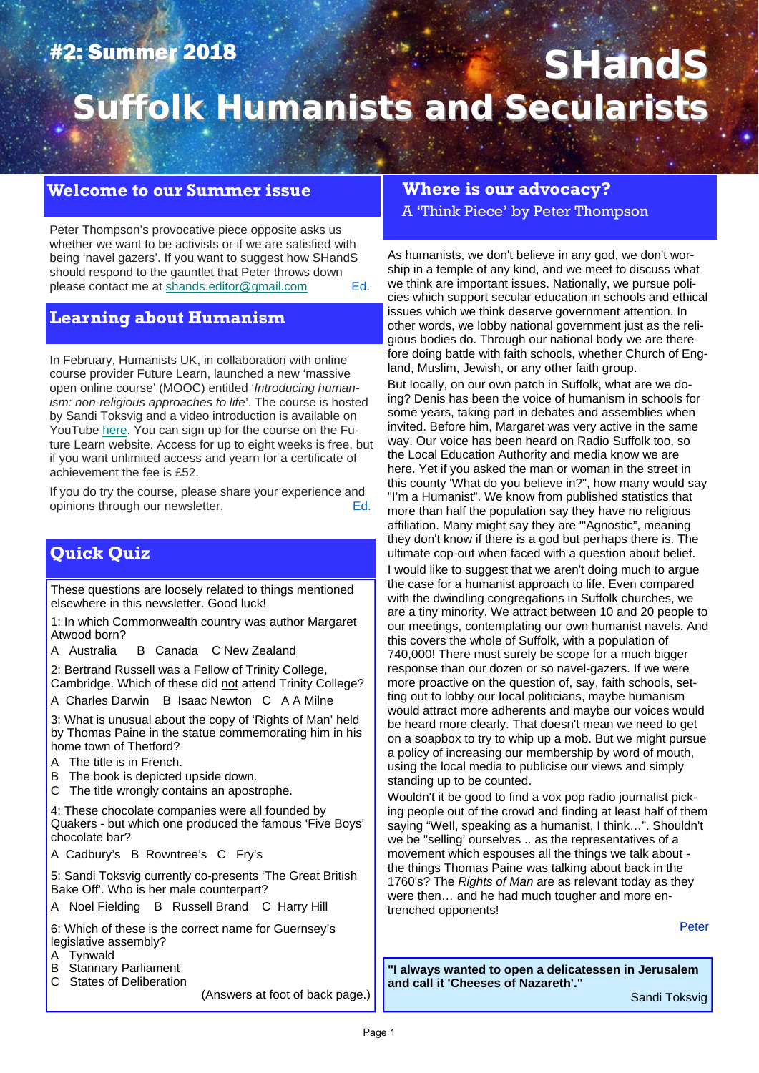## #2: Summer 2018

# **SHandS Suffolk Humanists and Secularists Suffolk Humanists and Secularists**

## **Welcome to our Summer issue**

Peter Thompson's provocative piece opposite asks us whether we want to be activists or if we are satisfied with being 'navel gazers'. If you want to suggest how SHandS should respond to the gauntlet that Peter throws down please contact me at shands.editor@gmail.com Ed.

### **Learning about Humanism**

In February, Humanists UK, in collaboration with online course provider Future Learn, launched a new 'massive open online course' (MOOC) entitled '*Introducing humanism: non-religious approaches to life*'. The course is hosted by Sandi Toksvig and a video introduction is available on YouTube here. You can sign up for the course on the Future Learn website. Access for up to eight weeks is free, but if you want unlimited access and yearn for a certificate of achievement the fee is £52.

If you do try the course, please share your experience and opinions through our newsletter. The example opinions through our newsletter.

## **Quick Quiz**

These questions are loosely related to things mentioned elsewhere in this newsletter. Good luck!

1: In which Commonwealth country was author Margaret Atwood born?

A Australia B Canada C New Zealand

2: Bertrand Russell was a Fellow of Trinity College, Cambridge. Which of these did not attend Trinity College?

A Charles Darwin B Isaac Newton C A A Milne

3: What is unusual about the copy of 'Rights of Man' held by Thomas Paine in the statue commemorating him in his home town of Thetford?

- A The title is in French.
- B The book is depicted upside down.
- C The title wrongly contains an apostrophe.

4: These chocolate companies were all founded by Quakers - but which one produced the famous 'Five Boys' chocolate bar?

A Cadbury's B Rowntree's C Fry's

5: Sandi Toksvig currently co-presents 'The Great British Bake Off'. Who is her male counterpart?

A Noel Fielding B Russell Brand C Harry Hill

6: Which of these is the correct name for Guernsey's legislative assembly?

- A Tynwald
- B Stannary Parliament
- C States of Deliberation

(Answers at foot of back page.)

#### **Where is our advocacy?**

A 'Think Piece' by Peter Thompson

As humanists, we don't believe in any god, we don't worship in a temple of any kind, and we meet to discuss what we think are important issues. Nationally, we pursue policies which support secular education in schools and ethical issues which we think deserve government attention. In other words, we lobby national government just as the religious bodies do. Through our national body we are therefore doing battle with faith schools, whether Church of England, Muslim, Jewish, or any other faith group.

But Iocally, on our own patch in Suffolk, what are we doing? Denis has been the voice of humanism in schools for some years, taking part in debates and assemblies when invited. Before him, Margaret was very active in the same way. Our voice has been heard on Radio Suffolk too, so the Local Education Authority and media know we are here. Yet if you asked the man or woman in the street in this county 'What do you believe in?", how many would say "I'm a Humanist". We know from published statistics that more than half the population say they have no religious affiliation. Many might say they are '"Agnostic", meaning they don't know if there is a god but perhaps there is. The ultimate cop-out when faced with a question about belief. I would like to suggest that we aren't doing much to argue the case for a humanist approach to life. Even compared with the dwindling congregations in Suffolk churches, we are a tiny minority. We attract between 10 and 20 people to our meetings, contemplating our own humanist navels. And this covers the whole of Suffolk, with a population of 740,000! There must surely be scope for a much bigger response than our dozen or so navel-gazers. If we were more proactive on the question of, say, faith schools, setting out to lobby our Iocal politicians, maybe humanism would attract more adherents and maybe our voices would be heard more clearly. That doesn't mean we need to get

on a soapbox to try to whip up a mob. But we might pursue a policy of increasing our membership by word of mouth, using the local media to publicise our views and simply standing up to be counted.

Wouldn't it be good to find a vox pop radio journalist picking people out of the crowd and finding at least half of them saying "WeIl, speaking as a humanist, I think…". Shouldn't we be "selling' ourselves .. as the representatives of a movement which espouses all the things we talk about the things Thomas Paine was talking about back in the 1760's? The *Rights of Man* are as relevant today as they were then… and he had much tougher and more entrenched opponents!

Peter

**"I always wanted to open a delicatessen in Jerusalem and call it 'Cheeses of Nazareth'."** 

Sandi Toksvig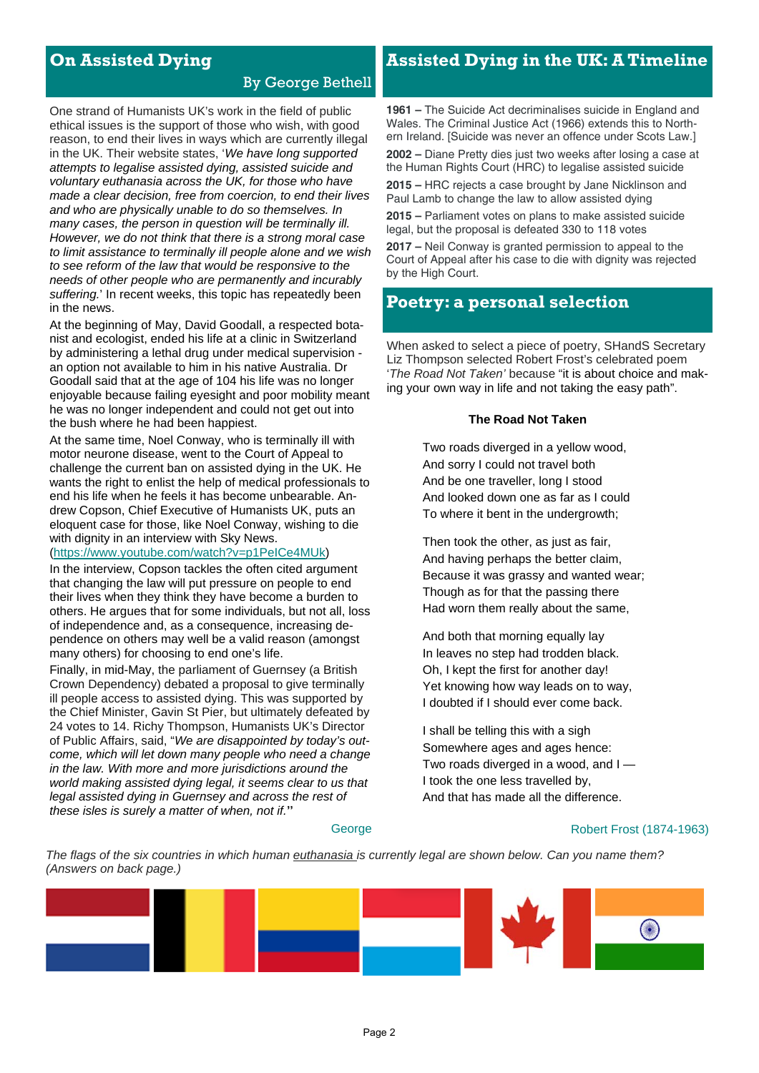## **On Assisted Dying**

### By George Bethell

One strand of Humanists UK's work in the field of public ethical issues is the support of those who wish, with good reason, to end their lives in ways which are currently illegal in the UK. Their website states, '*We have long supported attempts to legalise assisted dying, assisted suicide and voluntary euthanasia across the UK, for those who have made a clear decision, free from coercion, to end their lives and who are physically unable to do so themselves. In many cases, the person in question will be terminally ill. However, we do not think that there is a strong moral case to limit assistance to terminally ill people alone and we wish to see reform of the law that would be responsive to the needs of other people who are permanently and incurably suffering.*' In recent weeks, this topic has repeatedly been in the news.

At the beginning of May, David Goodall, a respected botanist and ecologist, ended his life at a clinic in Switzerland by administering a lethal drug under medical supervision an option not available to him in his native Australia. Dr Goodall said that at the age of 104 his life was no longer enjoyable because failing eyesight and poor mobility meant he was no longer independent and could not get out into the bush where he had been happiest.

At the same time, Noel Conway, who is terminally ill with motor neurone disease, went to the Court of Appeal to challenge the current ban on assisted dying in the UK. He wants the right to enlist the help of medical professionals to end his life when he feels it has become unbearable. Andrew Copson, Chief Executive of Humanists UK, puts an eloquent case for those, like Noel Conway, wishing to die with dignity in an interview with Sky News.

#### (https://www.youtube.com/watch?v=p1PeICe4MUk)

In the interview, Copson tackles the often cited argument that changing the law will put pressure on people to end their lives when they think they have become a burden to others. He argues that for some individuals, but not all, loss of independence and, as a consequence, increasing dependence on others may well be a valid reason (amongst many others) for choosing to end one's life.

Finally, in mid-May, the parliament of Guernsey (a British Crown Dependency) debated a proposal to give terminally ill people access to assisted dying. This was supported by the Chief Minister, Gavin St Pier, but ultimately defeated by 24 votes to 14. Richy Thompson, Humanists UK's Director of Public Affairs, said, "*We are disappointed by today's outcome, which will let down many people who need a change in the law. With more and more jurisdictions around the world making assisted dying legal, it seems clear to us that legal assisted dying in Guernsey and across the rest of these isles is surely a matter of when, not if.*"

## **Assisted Dying in the UK: A Timeline**

**1961 –** The Suicide Act decriminalises suicide in England and Wales. The Criminal Justice Act (1966) extends this to Northern Ireland. [Suicide was never an offence under Scots Law.]

**2002 –** Diane Pretty dies just two weeks after losing a case at the Human Rights Court (HRC) to legalise assisted suicide

**2015 –** HRC rejects a case brought by Jane Nicklinson and Paul Lamb to change the law to allow assisted dying

**2015 –** Parliament votes on plans to make assisted suicide legal, but the proposal is defeated 330 to 118 votes

**2017 –** Neil Conway is granted permission to appeal to the Court of Appeal after his case to die with dignity was rejected by the High Court.

## **Poetry: a personal selection**

When asked to select a piece of poetry, SHandS Secretary Liz Thompson selected Robert Frost's celebrated poem '*The Road Not Taken'* because "it is about choice and making your own way in life and not taking the easy path".

#### **The Road Not Taken**

Two roads diverged in a yellow wood, And sorry I could not travel both And be one traveller, long I stood And looked down one as far as I could To where it bent in the undergrowth;

Then took the other, as just as fair, And having perhaps the better claim, Because it was grassy and wanted wear; Though as for that the passing there Had worn them really about the same,

And both that morning equally lay In leaves no step had trodden black. Oh, I kept the first for another day! Yet knowing how way leads on to way, I doubted if I should ever come back.

I shall be telling this with a sigh Somewhere ages and ages hence: Two roads diverged in a wood, and I — I took the one less travelled by, And that has made all the difference.

#### Robert Frost (1874-1963)

*The flags of the six countries in which human euthanasia is currently legal are shown below. Can you name them? (Answers on back page.)*

**George** 

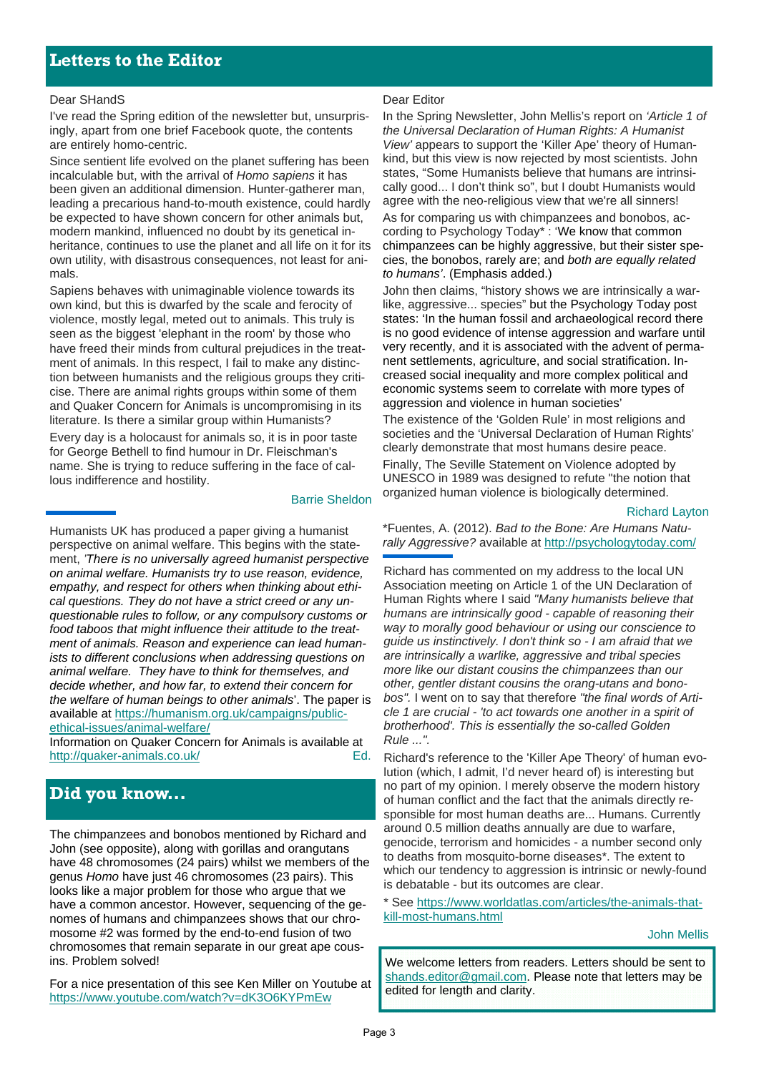#### Dear SHandS

I've read the Spring edition of the newsletter but, unsurprisingly, apart from one brief Facebook quote, the contents are entirely homo-centric.

Since sentient life evolved on the planet suffering has been incalculable but, with the arrival of *Homo sapiens* it has been given an additional dimension. Hunter-gatherer man, leading a precarious hand-to-mouth existence, could hardly be expected to have shown concern for other animals but, modern mankind, influenced no doubt by its genetical inheritance, continues to use the planet and all life on it for its own utility, with disastrous consequences, not least for animals.

Sapiens behaves with unimaginable violence towards its own kind, but this is dwarfed by the scale and ferocity of violence, mostly legal, meted out to animals. This truly is seen as the biggest 'elephant in the room' by those who have freed their minds from cultural prejudices in the treatment of animals. In this respect, I fail to make any distinction between humanists and the religious groups they criticise. There are animal rights groups within some of them and Quaker Concern for Animals is uncompromising in its literature. Is there a similar group within Humanists? Every day is a holocaust for animals so, it is in poor taste for George Bethell to find humour in Dr. Fleischman's name. She is trying to reduce suffering in the face of callous indifference and hostility.

#### Humanists UK has produced a paper giving a humanist perspective on animal welfare. This begins with the statement, *'There is no universally agreed humanist perspective on animal welfare. Humanists try to use reason, evidence, empathy, and respect for others when thinking about ethical questions. They do not have a strict creed or any unquestionable rules to follow, or any compulsory customs or food taboos that might influence their attitude to the treatment of animals. Reason and experience can lead humanists to different conclusions when addressing questions on animal welfare. They have to think for themselves, and decide whether, and how far, to extend their concern for*

Barrie Sheldon

*the welfare of human beings to other animals*'. The paper is available at https://humanism.org.uk/campaigns/publicethical-issues/animal-welfare/

Information on Quaker Concern for Animals is available at http://quaker-animals.co.uk/ Ed.

## **Did you know...**

The chimpanzees and bonobos mentioned by Richard and John (see opposite), along with gorillas and orangutans have 48 chromosomes (24 pairs) whilst we members of the genus *Homo* have just 46 chromosomes (23 pairs). This looks like a major problem for those who argue that we have a common ancestor. However, sequencing of the genomes of humans and chimpanzees shows that our chromosome #2 was formed by the end-to-end fusion of two chromosomes that remain separate in our great ape cousins. Problem solved!

For a nice presentation of this see Ken Miller on Youtube at https://www.youtube.com/watch?v=dK3O6KYPmEw

#### Dear Editor

In the Spring Newsletter, John Mellis's report on *'Article 1 of the Universal Declaration of Human Rights: A Humanist View'* appears to support the 'Killer Ape' theory of Humankind, but this view is now rejected by most scientists. John states, "Some Humanists believe that humans are intrinsically good... I don't think so", but I doubt Humanists would agree with the neo-religious view that we're all sinners! As for comparing us with chimpanzees and bonobos, according to Psychology Today\* : 'We know that common chimpanzees can be highly aggressive, but their sister species, the bonobos, rarely are; and *both are equally related to humans'*. (Emphasis added.)

John then claims, "history shows we are intrinsically a warlike, aggressive... species" but the Psychology Today post states: 'In the human fossil and archaeological record there is no good evidence of intense aggression and warfare until very recently, and it is associated with the advent of permanent settlements, agriculture, and social stratification. Increased social inequality and more complex political and economic systems seem to correlate with more types of aggression and violence in human societies'

The existence of the 'Golden Rule' in most religions and societies and the 'Universal Declaration of Human Rights' clearly demonstrate that most humans desire peace. Finally, The Seville Statement on Violence adopted by UNESCO in 1989 was designed to refute "the notion that organized human violence is biologically determined.

Richard Layton

\*Fuentes, A. (2012). *Bad to the Bone: Are Humans Naturally Aggressive?* available at http://psychologytoday.com/

Richard has commented on my address to the local UN Association meeting on Article 1 of the UN Declaration of Human Rights where I said *"Many humanists believe that humans are intrinsically good - capable of reasoning their way to morally good behaviour or using our conscience to guide us instinctively. I don't think so - I am afraid that we are intrinsically a warlike, aggressive and tribal species more like our distant cousins the chimpanzees than our other, gentler distant cousins the orang-utans and bonobos".* I went on to say that therefore *"the final words of Article 1 are crucial - 'to act towards one another in a spirit of brotherhood'. This is essentially the so-called Golden Rule ...".* 

Richard's reference to the 'Killer Ape Theory' of human evolution (which, I admit, I'd never heard of) is interesting but no part of my opinion. I merely observe the modern history of human conflict and the fact that the animals directly responsible for most human deaths are... Humans. Currently around 0.5 million deaths annually are due to warfare, genocide, terrorism and homicides - a number second only to deaths from mosquito-borne diseases\*. The extent to which our tendency to aggression is intrinsic or newly-found is debatable - but its outcomes are clear.

\* See https://www.worldatlas.com/articles/the-animals-thatkill-most-humans.html

John Mellis

We welcome letters from readers. Letters should be sent to shands.editor@gmail.com. Please note that letters may be edited for length and clarity.